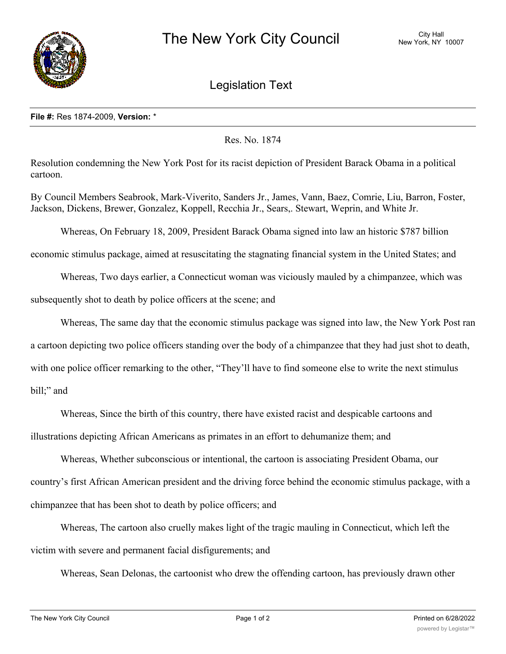

Legislation Text

## **File #:** Res 1874-2009, **Version:** \*

Res. No. 1874

Resolution condemning the New York Post for its racist depiction of President Barack Obama in a political cartoon.

By Council Members Seabrook, Mark-Viverito, Sanders Jr., James, Vann, Baez, Comrie, Liu, Barron, Foster, Jackson, Dickens, Brewer, Gonzalez, Koppell, Recchia Jr., Sears,. Stewart, Weprin, and White Jr.

Whereas, On February 18, 2009, President Barack Obama signed into law an historic \$787 billion

economic stimulus package, aimed at resuscitating the stagnating financial system in the United States; and

Whereas, Two days earlier, a Connecticut woman was viciously mauled by a chimpanzee, which was

subsequently shot to death by police officers at the scene; and

Whereas, The same day that the economic stimulus package was signed into law, the New York Post ran a cartoon depicting two police officers standing over the body of a chimpanzee that they had just shot to death, with one police officer remarking to the other, "They'll have to find someone else to write the next stimulus bill;" and

Whereas, Since the birth of this country, there have existed racist and despicable cartoons and illustrations depicting African Americans as primates in an effort to dehumanize them; and

Whereas, Whether subconscious or intentional, the cartoon is associating President Obama, our country's first African American president and the driving force behind the economic stimulus package, with a chimpanzee that has been shot to death by police officers; and

Whereas, The cartoon also cruelly makes light of the tragic mauling in Connecticut, which left the victim with severe and permanent facial disfigurements; and

Whereas, Sean Delonas, the cartoonist who drew the offending cartoon, has previously drawn other